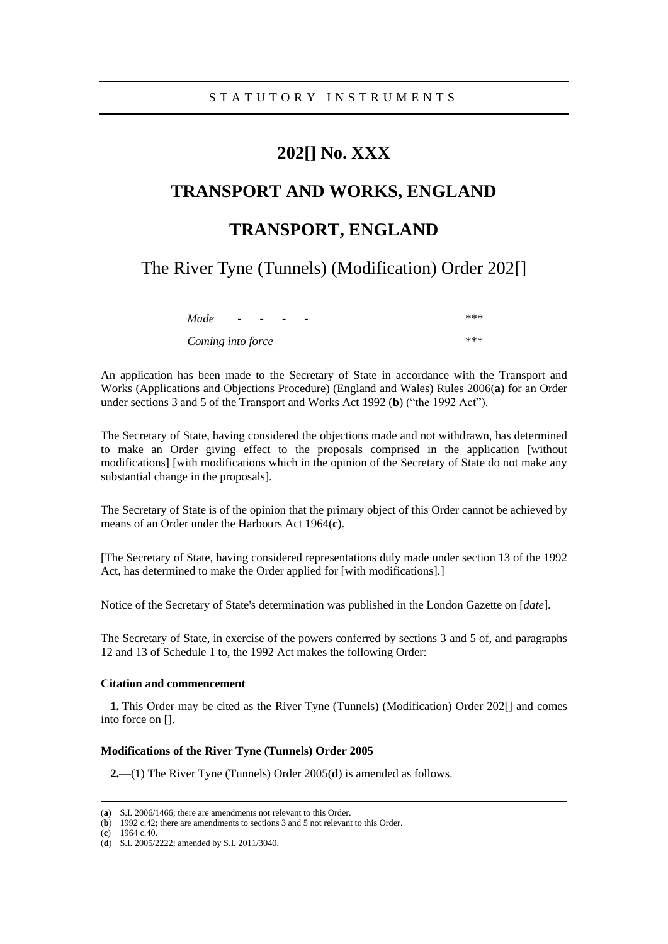### **202[] No. XXX**

# **TRANSPORT AND WORKS, ENGLAND**

## **TRANSPORT, ENGLAND**

The River Tyne (Tunnels) (Modification) Order 202[]

| Made              | $\overline{\phantom{0}}$ | - | - | *** |
|-------------------|--------------------------|---|---|-----|
| Coming into force |                          |   |   | *** |

An application has been made to the Secretary of State in accordance with the Transport and Works (Applications and Objections Procedure) (England and Wales) Rules 2006(**a**) for an Order under sections 3 and 5 of the Transport and Works Act 1992 (**b**) ("the 1992 Act").

The Secretary of State, having considered the objections made and not withdrawn, has determined to make an Order giving effect to the proposals comprised in the application [without modifications] [with modifications which in the opinion of the Secretary of State do not make any substantial change in the proposals].

The Secretary of State is of the opinion that the primary object of this Order cannot be achieved by means of an Order under the Harbours Act 1964(**c**).

[The Secretary of State, having considered representations duly made under section 13 of the 1992 Act, has determined to make the Order applied for [with modifications].]

Notice of the Secretary of State's determination was published in the London Gazette on [*date*].

The Secretary of State, in exercise of the powers conferred by sections 3 and 5 of, and paragraphs 12 and 13 of Schedule 1 to, the 1992 Act makes the following Order:

### **Citation and commencement**

**1.** This Order may be cited as the River Tyne (Tunnels) (Modification) Order 202[] and comes into force on [].

#### **Modifications of the River Tyne (Tunnels) Order 2005**

**2.**—(1) The River Tyne (Tunnels) Order 2005(**d**) is amended as follows.

(**c**) 1964 c.40.

<sup>(</sup>**a**) S.I. 2006/1466; there are amendments not relevant to this Order.

<sup>(</sup>**b**) 1992 c.42; there are amendments to sections 3 and 5 not relevant to this Order.

<sup>(</sup>**d**) S.I. 2005/2222; amended by S.I. 2011/3040.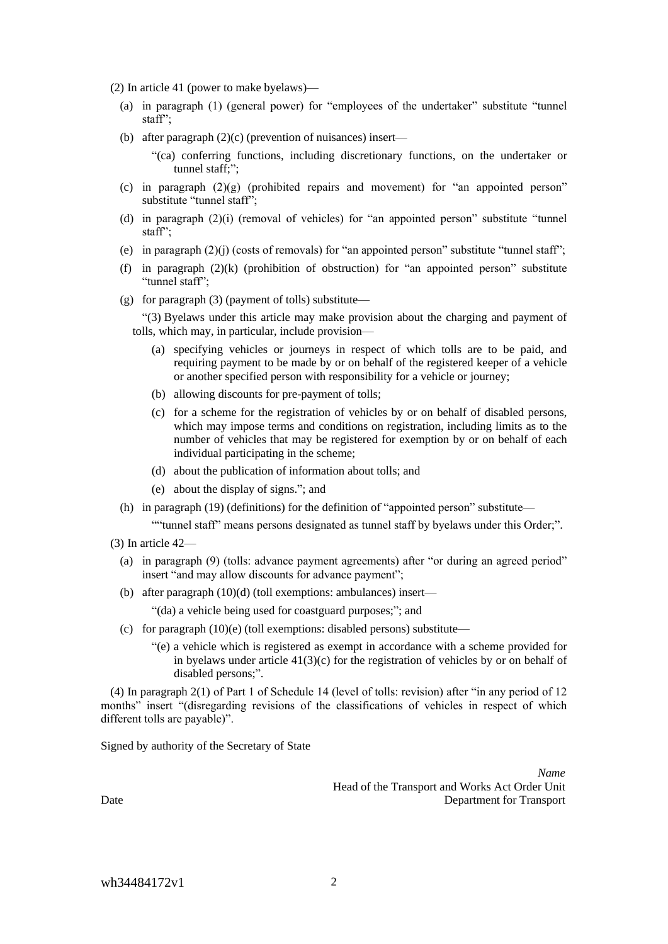- (2) In article 41 (power to make byelaws)—
	- (a) in paragraph (1) (general power) for "employees of the undertaker" substitute "tunnel staff";
	- (b) after paragraph (2)(c) (prevention of nuisances) insert—
		- "(ca) conferring functions, including discretionary functions, on the undertaker or tunnel staff;";
	- (c) in paragraph  $(2)(g)$  (prohibited repairs and movement) for "an appointed person" substitute "tunnel staff";
	- (d) in paragraph  $(2)(i)$  (removal of vehicles) for "an appointed person" substitute "tunnel staff";
	- (e) in paragraph (2)(j) (costs of removals) for "an appointed person" substitute "tunnel staff";
	- (f) in paragraph  $(2)(k)$  (prohibition of obstruction) for "an appointed person" substitute "tunnel staff";
	- (g) for paragraph (3) (payment of tolls) substitute—

"(3) Byelaws under this article may make provision about the charging and payment of tolls, which may, in particular, include provision—

- (a) specifying vehicles or journeys in respect of which tolls are to be paid, and requiring payment to be made by or on behalf of the registered keeper of a vehicle or another specified person with responsibility for a vehicle or journey;
- (b) allowing discounts for pre-payment of tolls;
- (c) for a scheme for the registration of vehicles by or on behalf of disabled persons, which may impose terms and conditions on registration, including limits as to the number of vehicles that may be registered for exemption by or on behalf of each individual participating in the scheme;
- (d) about the publication of information about tolls; and
- (e) about the display of signs."; and
- (h) in paragraph (19) (definitions) for the definition of "appointed person" substitute—

""tunnel staff" means persons designated as tunnel staff by byelaws under this Order;".

- (3) In article 42—
	- (a) in paragraph (9) (tolls: advance payment agreements) after "or during an agreed period" insert "and may allow discounts for advance payment";
	- (b) after paragraph (10)(d) (toll exemptions: ambulances) insert—

"(da) a vehicle being used for coastguard purposes;"; and

- (c) for paragraph (10)(e) (toll exemptions: disabled persons) substitute—
	- "(e) a vehicle which is registered as exempt in accordance with a scheme provided for in byelaws under article  $41(3)(c)$  for the registration of vehicles by or on behalf of disabled persons;".

(4) In paragraph 2(1) of Part 1 of Schedule 14 (level of tolls: revision) after "in any period of 12 months" insert "(disregarding revisions of the classifications of vehicles in respect of which different tolls are payable)".

Signed by authority of the Secretary of State

*Name* Head of the Transport and Works Act Order Unit Date Department for Transport